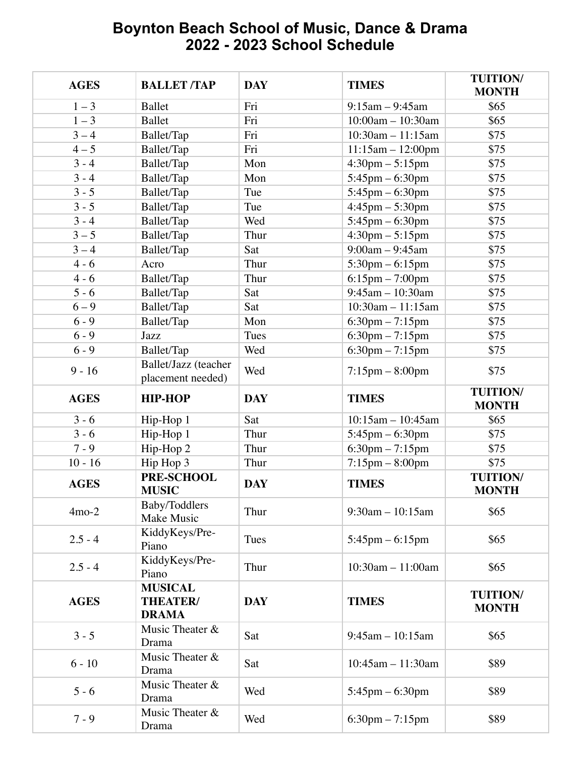## **Boynton Beach School of Music, Dance & Drama 2022 - 2023 School Schedule**

| <b>AGES</b> | <b>BALLET/TAP</b>                          | <b>DAY</b> | <b>TIMES</b>                      | <b>TUITION/</b><br><b>MONTH</b> |
|-------------|--------------------------------------------|------------|-----------------------------------|---------------------------------|
| $1 - 3$     | <b>Ballet</b>                              | Fri        | $9:15$ am $-9:45$ am              | \$65                            |
| $1 - 3$     | <b>Ballet</b>                              | Fri        | $10:00am - 10:30am$               | \$65                            |
| $3 - 4$     | Ballet/Tap                                 | Fri        | $10:30$ am $-11:15$ am            | \$75                            |
| $4 - 5$     | Ballet/Tap                                 | Fri        | $11:15am - 12:00pm$               | \$75                            |
| $3 - 4$     | Ballet/Tap                                 | Mon        | $4:30 \text{pm} - 5:15 \text{pm}$ | \$75                            |
| $3 - 4$     | Ballet/Tap                                 | Mon        | $5:45$ pm $-6:30$ pm              | \$75                            |
| $3 - 5$     | Ballet/Tap                                 | Tue        | $5:45$ pm $-6:30$ pm              | \$75                            |
| $3 - 5$     | Ballet/Tap                                 | Tue        | $4:45$ pm $-5:30$ pm              | \$75                            |
| $3 - 4$     | Ballet/Tap                                 | Wed        | $5:45$ pm $-6:30$ pm              | \$75                            |
| $3 - 5$     | Ballet/Tap                                 | Thur       | $4:30 \text{pm} - 5:15 \text{pm}$ | \$75                            |
| $3 - 4$     | Ballet/Tap                                 | Sat        | $9:00am - 9:45am$                 | \$75                            |
| $4 - 6$     | Acro                                       | Thur       | $5:30$ pm $-6:15$ pm              | \$75                            |
| $4 - 6$     | Ballet/Tap                                 | Thur       | $6:15$ pm $-7:00$ pm              | \$75                            |
| $5 - 6$     | Ballet/Tap                                 | Sat        | $9:45$ am $-10:30$ am             | \$75                            |
| $6 - 9$     | Ballet/Tap                                 | Sat        | $10:30$ am $-11:15$ am            | \$75                            |
| $6 - 9$     | Ballet/Tap                                 | Mon        | $6:30$ pm $-7:15$ pm              | \$75                            |
| $6 - 9$     | Jazz                                       | Tues       | $6:30$ pm $-7:15$ pm              | \$75                            |
| $6 - 9$     | Ballet/Tap                                 | Wed        | $6:30$ pm $-7:15$ pm              | \$75                            |
| $9 - 16$    | Ballet/Jazz (teacher<br>placement needed)  | Wed        | $7:15$ pm $-8:00$ pm              | \$75                            |
| <b>AGES</b> | <b>HIP-HOP</b>                             | <b>DAY</b> | <b>TIMES</b>                      | <b>TUITION/</b><br><b>MONTH</b> |
| $3 - 6$     | Hip-Hop 1                                  | Sat        | $10:15am - 10:45am$               | \$65                            |
| $3 - 6$     | Hip-Hop 1                                  | Thur       | $5:45$ pm $-6:30$ pm              | \$75                            |
| $7 - 9$     | Hip-Hop 2                                  | Thur       | $6:30 \text{pm} - 7:15 \text{pm}$ | \$75                            |
| $10 - 16$   | Hip Hop 3                                  | Thur       | $7:15$ pm $-8:00$ pm              | \$75                            |
| <b>AGES</b> | PRE-SCHOOL<br><b>MUSIC</b>                 | <b>DAY</b> | <b>TIMES</b>                      | <b>TUITION/</b><br><b>MONTH</b> |
| $4mo-2$     | Baby/Toddlers<br>Make Music                | Thur       | $9:30$ am $-10:15$ am             | \$65                            |
| $2.5 - 4$   | KiddyKeys/Pre-<br>Piano                    | Tues       | $5:45$ pm $-6:15$ pm              | \$65                            |
| $2.5 - 4$   | KiddyKeys/Pre-<br>Piano                    | Thur       | 10:30am - 11:00am                 | \$65                            |
| <b>AGES</b> | <b>MUSICAL</b><br>THEATER/<br><b>DRAMA</b> | <b>DAY</b> | <b>TIMES</b>                      | <b>TUITION/</b><br><b>MONTH</b> |
| $3 - 5$     | Music Theater &<br>Drama                   | Sat        | $9:45$ am $-10:15$ am             | \$65                            |
| $6 - 10$    | Music Theater &<br>Drama                   | Sat        | $10:45$ am $-11:30$ am            | \$89                            |
| $5 - 6$     | Music Theater &<br>Drama                   | Wed        | $5:45$ pm $-6:30$ pm              | \$89                            |
| $7 - 9$     | Music Theater &<br>Drama                   | Wed        | $6:30 \text{pm} - 7:15 \text{pm}$ | \$89                            |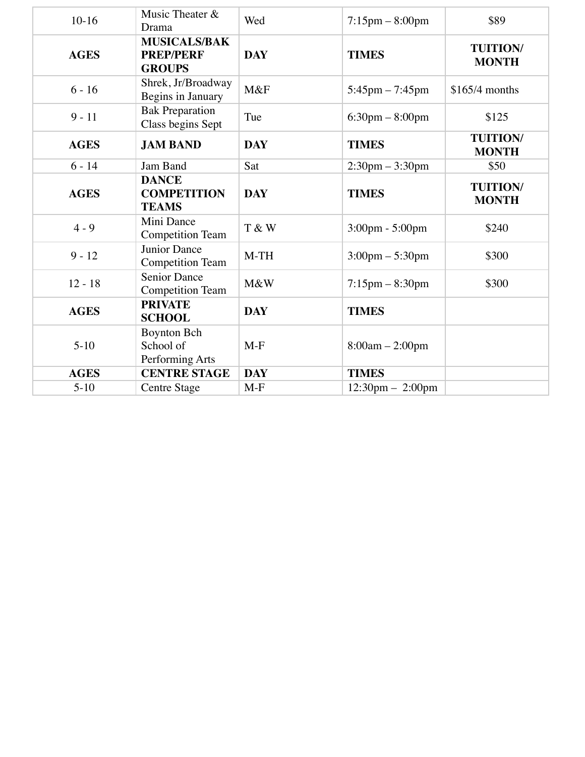| $10-16$     | Music Theater &<br>Drama                                 | Wed        | $7:15$ pm $-8:00$ pm               | \$89                            |
|-------------|----------------------------------------------------------|------------|------------------------------------|---------------------------------|
| <b>AGES</b> | <b>MUSICALS/BAK</b><br><b>PREP/PERF</b><br><b>GROUPS</b> | <b>DAY</b> | <b>TIMES</b>                       | <b>TUITION/</b><br><b>MONTH</b> |
| $6 - 16$    | Shrek, Jr/Broadway<br>Begins in January                  | M&F        | $5:45$ pm $-7:45$ pm               | $$165/4$ months                 |
| $9 - 11$    | <b>Bak Preparation</b><br>Class begins Sept              | Tue        | $6:30 \text{pm} - 8:00 \text{pm}$  | \$125                           |
| <b>AGES</b> | <b>JAM BAND</b>                                          | <b>DAY</b> | <b>TIMES</b>                       | <b>TUITION/</b><br><b>MONTH</b> |
| $6 - 14$    | Jam Band                                                 | Sat        | $2:30 \text{pm} - 3:30 \text{pm}$  | \$50                            |
| <b>AGES</b> | <b>DANCE</b><br><b>COMPETITION</b><br><b>TEAMS</b>       | <b>DAY</b> | <b>TIMES</b>                       | <b>TUITION/</b><br><b>MONTH</b> |
| $4 - 9$     | Mini Dance<br><b>Competition Team</b>                    | T & W      | $3:00 \text{pm} - 5:00 \text{pm}$  | \$240                           |
| $9 - 12$    | Junior Dance<br><b>Competition Team</b>                  | $M-TH$     | $3:00 \text{pm} - 5:30 \text{pm}$  | \$300                           |
| $12 - 18$   | <b>Senior Dance</b><br><b>Competition Team</b>           | M&W        | $7:15$ pm $-8:30$ pm               | \$300                           |
| <b>AGES</b> | <b>PRIVATE</b><br><b>SCHOOL</b>                          | <b>DAY</b> | <b>TIMES</b>                       |                                 |
| $5-10$      | <b>Boynton Bch</b><br>School of<br>Performing Arts       | $M-F$      | $8:00am - 2:00pm$                  |                                 |
| <b>AGES</b> | <b>CENTRE STAGE</b>                                      | <b>DAY</b> | <b>TIMES</b>                       |                                 |
| $5-10$      | <b>Centre Stage</b>                                      | $M-F$      | $12:30 \text{pm} - 2:00 \text{pm}$ |                                 |